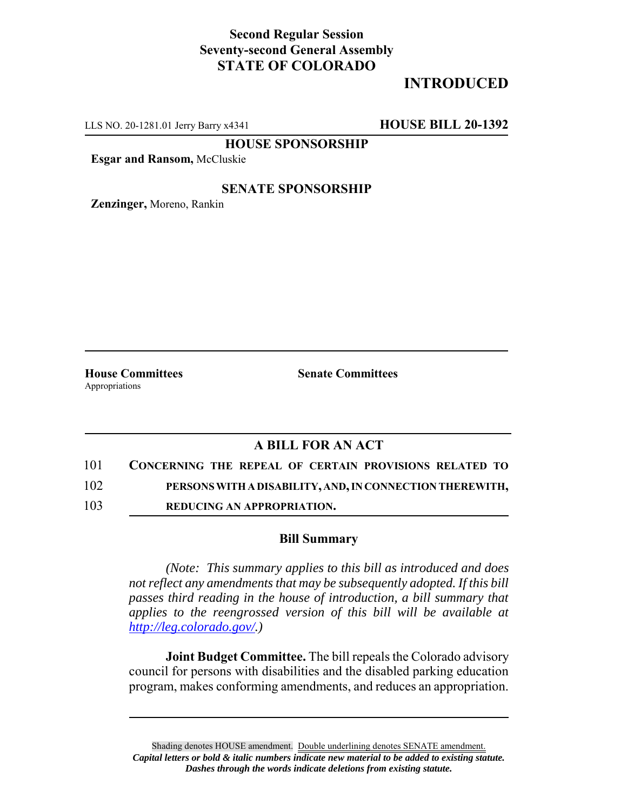## **Second Regular Session Seventy-second General Assembly STATE OF COLORADO**

# **INTRODUCED**

LLS NO. 20-1281.01 Jerry Barry x4341 **HOUSE BILL 20-1392**

**HOUSE SPONSORSHIP**

**Esgar and Ransom,** McCluskie

#### **SENATE SPONSORSHIP**

**Zenzinger,** Moreno, Rankin

Appropriations

**House Committees Senate Committees**

### **A BILL FOR AN ACT**

101 **CONCERNING THE REPEAL OF CERTAIN PROVISIONS RELATED TO**

102 **PERSONS WITH A DISABILITY, AND, IN CONNECTION THEREWITH,**

103 **REDUCING AN APPROPRIATION.**

#### **Bill Summary**

*(Note: This summary applies to this bill as introduced and does not reflect any amendments that may be subsequently adopted. If this bill passes third reading in the house of introduction, a bill summary that applies to the reengrossed version of this bill will be available at http://leg.colorado.gov/.)*

**Joint Budget Committee.** The bill repeals the Colorado advisory council for persons with disabilities and the disabled parking education program, makes conforming amendments, and reduces an appropriation.

Shading denotes HOUSE amendment. Double underlining denotes SENATE amendment. *Capital letters or bold & italic numbers indicate new material to be added to existing statute. Dashes through the words indicate deletions from existing statute.*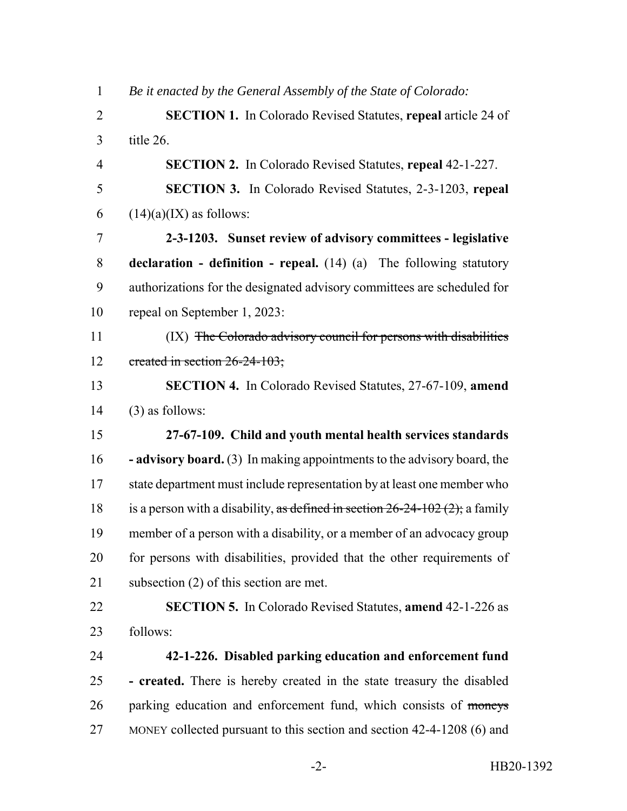| $\mathbf{1}$   | Be it enacted by the General Assembly of the State of Colorado:                |
|----------------|--------------------------------------------------------------------------------|
| $\overline{2}$ | <b>SECTION 1.</b> In Colorado Revised Statutes, repeal article 24 of           |
| 3              | title 26.                                                                      |
| 4              | <b>SECTION 2.</b> In Colorado Revised Statutes, repeal 42-1-227.               |
| 5              | <b>SECTION 3.</b> In Colorado Revised Statutes, 2-3-1203, repeal               |
| 6              | $(14)(a)(IX)$ as follows:                                                      |
| 7              | 2-3-1203. Sunset review of advisory committees - legislative                   |
| $8\,$          | <b>declaration - definition - repeal.</b> $(14)$ $(a)$ The following statutory |
| 9              | authorizations for the designated advisory committees are scheduled for        |
| 10             | repeal on September 1, 2023:                                                   |
| 11             | (IX) The Colorado advisory council for persons with disabilities               |
| 12             | created in section 26-24-103;                                                  |
| 13             | SECTION 4. In Colorado Revised Statutes, 27-67-109, amend                      |
|                |                                                                                |
| 14             | $(3)$ as follows:                                                              |
| 15             | 27-67-109. Child and youth mental health services standards                    |
| 16             | <b>- advisory board.</b> (3) In making appointments to the advisory board, the |
| 17             | state department must include representation by at least one member who        |
| 18             | is a person with a disability, as defined in section $26-24-102(2)$ ; a family |
| 19             | member of a person with a disability, or a member of an advocacy group         |
| 20             | for persons with disabilities, provided that the other requirements of         |
| 21             | subsection $(2)$ of this section are met.                                      |
| 22             | <b>SECTION 5.</b> In Colorado Revised Statutes, <b>amend</b> 42-1-226 as       |
| 23             | follows:                                                                       |
| 24             | 42-1-226. Disabled parking education and enforcement fund                      |
| 25             | - created. There is hereby created in the state treasury the disabled          |
| 26             | parking education and enforcement fund, which consists of moneys               |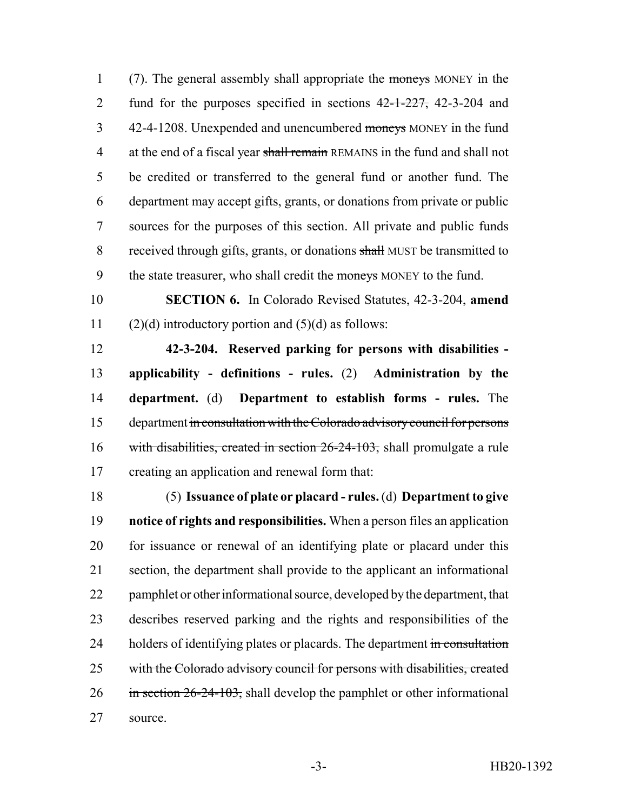(7). The general assembly shall appropriate the moneys MONEY in the 2 fund for the purposes specified in sections  $42-1-227$ , 42-3-204 and 42-4-1208. Unexpended and unencumbered moneys MONEY in the fund 4 at the end of a fiscal year shall remain REMAINS in the fund and shall not be credited or transferred to the general fund or another fund. The department may accept gifts, grants, or donations from private or public sources for the purposes of this section. All private and public funds 8 received through gifts, grants, or donations shall MUST be transmitted to 9 the state treasurer, who shall credit the moneys MONEY to the fund.

 **SECTION 6.** In Colorado Revised Statutes, 42-3-204, **amend** 11 (2)(d) introductory portion and  $(5)(d)$  as follows:

 **42-3-204. Reserved parking for persons with disabilities - applicability - definitions - rules.** (2) **Administration by the department.** (d) **Department to establish forms - rules.** The department in consultation with the Colorado advisory council for persons 16 with disabilities, created in section 26-24-103, shall promulgate a rule creating an application and renewal form that:

 (5) **Issuance of plate or placard - rules.** (d) **Department to give notice of rights and responsibilities.** When a person files an application for issuance or renewal of an identifying plate or placard under this section, the department shall provide to the applicant an informational pamphlet or other informational source, developed by the department, that describes reserved parking and the rights and responsibilities of the 24 holders of identifying plates or placards. The department in consultation with the Colorado advisory council for persons with disabilities, created in section  $26-24-103$ , shall develop the pamphlet or other informational source.